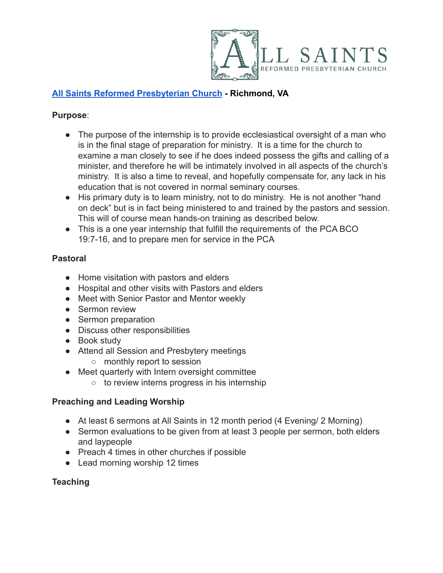

## **[All Saints Reformed Presbyterian Church](https://www.allsaintspres.org/) - Richmond, VA**

### **Purpose**:

- The purpose of the internship is to provide ecclesiastical oversight of a man who is in the final stage of preparation for ministry. It is a time for the church to examine a man closely to see if he does indeed possess the gifts and calling of a minister, and therefore he will be intimately involved in all aspects of the church's ministry. It is also a time to reveal, and hopefully compensate for, any lack in his education that is not covered in normal seminary courses.
- His primary duty is to learn ministry, not to do ministry. He is not another "hand on deck" but is in fact being ministered to and trained by the pastors and session. This will of course mean hands-on training as described below.
- This is a one year internship that fulfill the requirements of the PCA BCO 19:7-16, and to prepare men for service in the PCA

### **Pastoral**

- Home visitation with pastors and elders
- Hospital and other visits with Pastors and elders
- Meet with Senior Pastor and Mentor weekly
- Sermon review
- Sermon preparation
- Discuss other responsibilities
- Book study
- Attend all Session and Presbytery meetings
	- monthly report to session
- Meet quarterly with Intern oversight committee
	- $\circ$  to review interns progress in his internship

# **Preaching and Leading Worship**

- At least 6 sermons at All Saints in 12 month period (4 Evening/ 2 Morning)
- Sermon evaluations to be given from at least 3 people per sermon, both elders and laypeople
- Preach 4 times in other churches if possible
- Lead morning worship 12 times

# **Teaching**